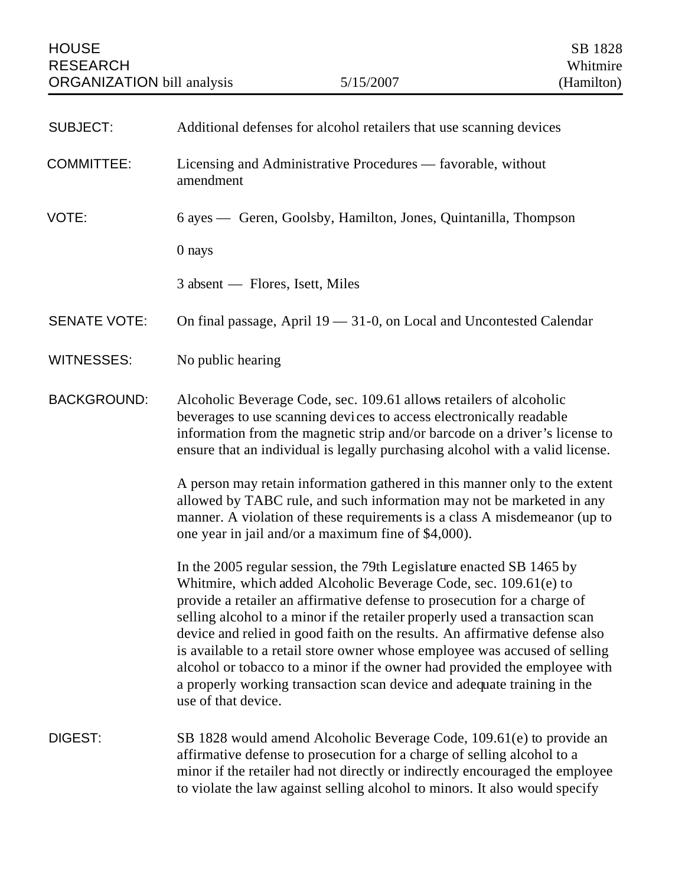| <b>SUBJECT:</b>     | Additional defenses for alcohol retailers that use scanning devices                                                                                                                                                                                                                                                                                                                                                                                                                                                                                                                                                                             |
|---------------------|-------------------------------------------------------------------------------------------------------------------------------------------------------------------------------------------------------------------------------------------------------------------------------------------------------------------------------------------------------------------------------------------------------------------------------------------------------------------------------------------------------------------------------------------------------------------------------------------------------------------------------------------------|
| <b>COMMITTEE:</b>   | Licensing and Administrative Procedures — favorable, without<br>amendment                                                                                                                                                                                                                                                                                                                                                                                                                                                                                                                                                                       |
| VOTE:               | 6 ayes — Geren, Goolsby, Hamilton, Jones, Quintanilla, Thompson                                                                                                                                                                                                                                                                                                                                                                                                                                                                                                                                                                                 |
|                     | 0 nays                                                                                                                                                                                                                                                                                                                                                                                                                                                                                                                                                                                                                                          |
|                     | 3 absent — Flores, Isett, Miles                                                                                                                                                                                                                                                                                                                                                                                                                                                                                                                                                                                                                 |
| <b>SENATE VOTE:</b> | On final passage, April 19 - 31-0, on Local and Uncontested Calendar                                                                                                                                                                                                                                                                                                                                                                                                                                                                                                                                                                            |
| <b>WITNESSES:</b>   | No public hearing                                                                                                                                                                                                                                                                                                                                                                                                                                                                                                                                                                                                                               |
| <b>BACKGROUND:</b>  | Alcoholic Beverage Code, sec. 109.61 allows retailers of alcoholic<br>beverages to use scanning devices to access electronically readable<br>information from the magnetic strip and/or barcode on a driver's license to<br>ensure that an individual is legally purchasing alcohol with a valid license.                                                                                                                                                                                                                                                                                                                                       |
|                     | A person may retain information gathered in this manner only to the extent<br>allowed by TABC rule, and such information may not be marketed in any<br>manner. A violation of these requirements is a class A misdemeanor (up to<br>one year in jail and/or a maximum fine of \$4,000).                                                                                                                                                                                                                                                                                                                                                         |
|                     | In the 2005 regular session, the 79th Legislature enacted SB 1465 by<br>Whitmire, which added Alcoholic Beverage Code, sec. 109.61(e) to<br>provide a retailer an affirmative defense to prosecution for a charge of<br>selling alcohol to a minor if the retailer properly used a transaction scan<br>device and relied in good faith on the results. An affirmative defense also<br>is available to a retail store owner whose employee was accused of selling<br>alcohol or tobacco to a minor if the owner had provided the employee with<br>a properly working transaction scan device and adequate training in the<br>use of that device. |
| DIGEST:             | SB 1828 would amend Alcoholic Beverage Code, 109.61(e) to provide an<br>affirmative defense to prosecution for a charge of selling alcohol to a<br>minor if the retailer had not directly or indirectly encouraged the employee<br>to violate the law against selling alcohol to minors. It also would specify                                                                                                                                                                                                                                                                                                                                  |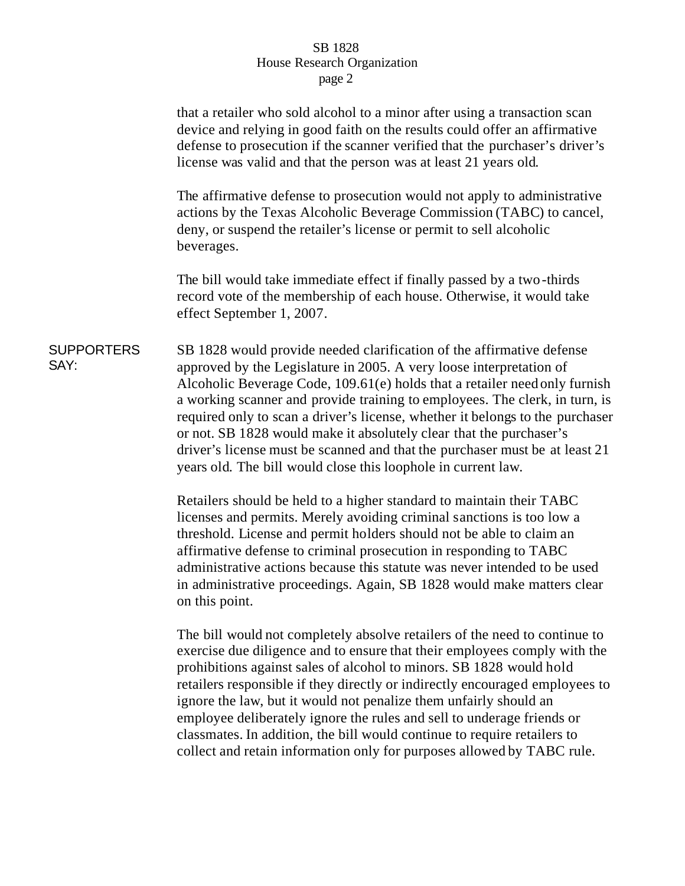## SB 1828 House Research Organization page 2

|                           | that a retailer who sold alcohol to a minor after using a transaction scan<br>device and relying in good faith on the results could offer an affirmative<br>defense to prosecution if the scanner verified that the purchaser's driver's<br>license was valid and that the person was at least 21 years old.                                                                                                                                                                                                                                                                                                      |
|---------------------------|-------------------------------------------------------------------------------------------------------------------------------------------------------------------------------------------------------------------------------------------------------------------------------------------------------------------------------------------------------------------------------------------------------------------------------------------------------------------------------------------------------------------------------------------------------------------------------------------------------------------|
|                           | The affirmative defense to prosecution would not apply to administrative<br>actions by the Texas Alcoholic Beverage Commission (TABC) to cancel,<br>deny, or suspend the retailer's license or permit to sell alcoholic<br>beverages.                                                                                                                                                                                                                                                                                                                                                                             |
|                           | The bill would take immediate effect if finally passed by a two-thirds<br>record vote of the membership of each house. Otherwise, it would take<br>effect September 1, 2007.                                                                                                                                                                                                                                                                                                                                                                                                                                      |
| <b>SUPPORTERS</b><br>SAY: | SB 1828 would provide needed clarification of the affirmative defense<br>approved by the Legislature in 2005. A very loose interpretation of<br>Alcoholic Beverage Code, 109.61(e) holds that a retailer need only furnish<br>a working scanner and provide training to employees. The clerk, in turn, is<br>required only to scan a driver's license, whether it belongs to the purchaser<br>or not. SB 1828 would make it absolutely clear that the purchaser's<br>driver's license must be scanned and that the purchaser must be at least 21<br>years old. The bill would close this loophole in current law. |
|                           | Retailers should be held to a higher standard to maintain their TABC<br>licenses and permits. Merely avoiding criminal sanctions is too low a<br>threshold. License and permit holders should not be able to claim an<br>affirmative defense to criminal prosecution in responding to TABC<br>administrative actions because this statute was never intended to be used<br>in administrative proceedings. Again, SB 1828 would make matters clear<br>on this point.                                                                                                                                               |

The bill would not completely absolve retailers of the need to continue to exercise due diligence and to ensure that their employees comply with the prohibitions against sales of alcohol to minors. SB 1828 would hold retailers responsible if they directly or indirectly encouraged employees to ignore the law, but it would not penalize them unfairly should an employee deliberately ignore the rules and sell to underage friends or classmates. In addition, the bill would continue to require retailers to collect and retain information only for purposes allowed by TABC rule.